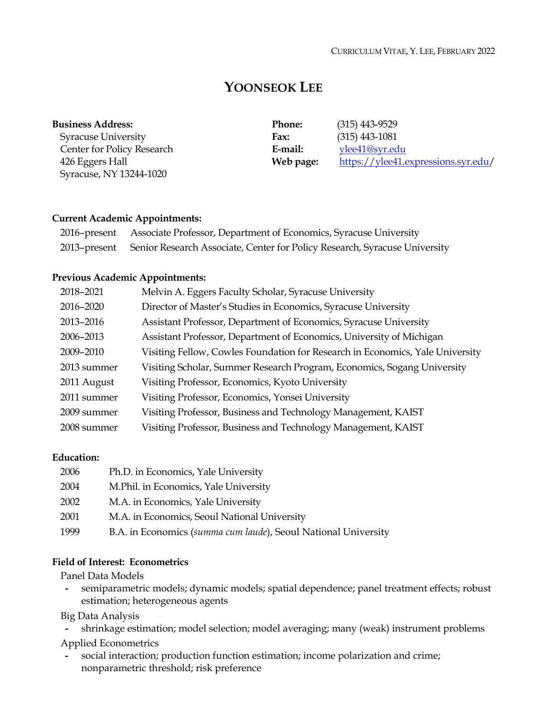# **YOONSEOK LEE**

| <b>Business Address:</b>   | <b>Phone:</b> | $(315)$ 443-9529                    |
|----------------------------|---------------|-------------------------------------|
| <b>Syracuse University</b> | Fax:          | $(315)$ 443-1081                    |
| Center for Policy Research | E-mail:       | ylee41@syr.edu                      |
| 426 Eggers Hall            | Web page:     | https://ylee41.expressions.syr.edu/ |
| Syracuse, NY 13244-1020    |               |                                     |

#### **Current Academic Appointments:**

| 2016–present Associate Professor, Department of Economics, Syracuse University          |
|-----------------------------------------------------------------------------------------|
| 2013-present Senior Research Associate, Center for Policy Research, Syracuse University |

#### **Previous Academic Appointments:**

| 2018-2021   | Melvin A. Eggers Faculty Scholar, Syracuse University                         |
|-------------|-------------------------------------------------------------------------------|
| 2016-2020   | Director of Master's Studies in Economics, Syracuse University                |
| 2013-2016   | Assistant Professor, Department of Economics, Syracuse University             |
| 2006-2013   | Assistant Professor, Department of Economics, University of Michigan          |
| 2009-2010   | Visiting Fellow, Cowles Foundation for Research in Economics, Yale University |
| 2013 summer | Visiting Scholar, Summer Research Program, Economics, Sogang University       |
| 2011 August | Visiting Professor, Economics, Kyoto University                               |
| 2011 summer | Visiting Professor, Economics, Yonsei University                              |
| 2009 summer | Visiting Professor, Business and Technology Management, KAIST                 |
| 2008 summer | Visiting Professor, Business and Technology Management, KAIST                 |

#### **Education:**

| 2006 | Ph.D. in Economics, Yale University                            |
|------|----------------------------------------------------------------|
| 2004 | M.Phil. in Economics, Yale University                          |
| 2002 | M.A. in Economics, Yale University                             |
| 2001 | M.A. in Economics, Seoul National University                   |
| 1999 | B.A. in Economics (summa cum laude), Seoul National University |

## **Field of Interest: Econometrics**

Panel Data Models

**-** semiparametric models; dynamic models; spatial dependence; panel treatment effects; robust estimation; heterogeneous agents

Big Data Analysis

**-** shrinkage estimation; model selection; model averaging; many (weak) instrument problems Applied Econometrics

**-** social interaction; production function estimation; income polarization and crime; nonparametric threshold; risk preference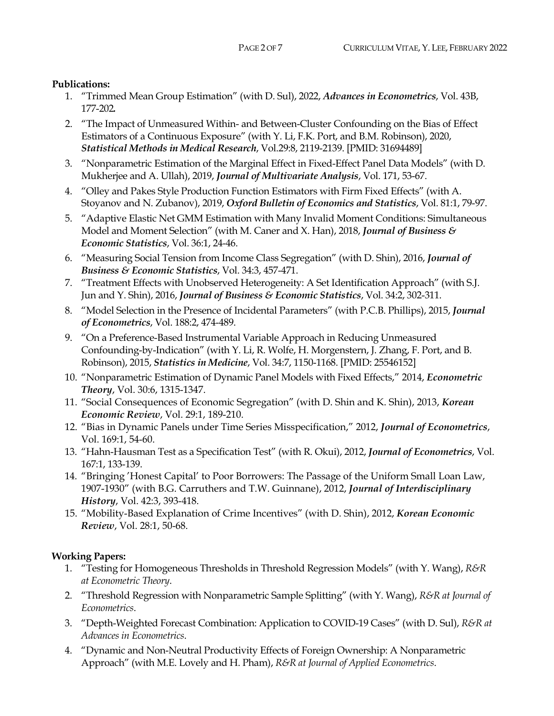#### **Publications:**

- 1. "Trimmed Mean Group Estimation" (with D. Sul), 2022, *Advances in Econometrics*, Vol. 43B, 177-202*.*
- 2. "The Impact of Unmeasured Within- and Between-Cluster Confounding on the Bias of Effect Estimators of a Continuous Exposure" (with Y. Li, F.K. Port, and B.M. Robinson), 2020, *Statistical Methods in Medical Research*, Vol.29:8, 2119-2139. [PMID: 31694489]
- 3. "Nonparametric Estimation of the Marginal Effect in Fixed-Effect Panel Data Models" (with D. Mukherjee and A. Ullah), 2019, *Journal of Multivariate Analysis*, Vol. 171, 53-67.
- 4. "Olley and Pakes Style Production Function Estimators with Firm Fixed Effects" (with A. Stoyanov and N. Zubanov), 2019, *Oxford Bulletin of Economics and Statistics*, Vol. 81:1, 79-97.
- 5. "Adaptive Elastic Net GMM Estimation with Many Invalid Moment Conditions: Simultaneous Model and Moment Selection" (with M. Caner and X. Han), 2018, *Journal of Business & Economic Statistics*, Vol. 36:1, 24-46.
- 6. "Measuring Social Tension from Income Class Segregation" (with D. Shin), 2016, *Journal of Business & Economic Statistics*, Vol. 34:3, 457-471.
- 7. "Treatment Effects with Unobserved Heterogeneity: A Set Identification Approach" (with S.J. Jun and Y. Shin), 2016, *Journal of Business & Economic Statistics*, Vol. 34:2, 302-311.
- 8. "Model Selection in the Presence of Incidental Parameters" (with P.C.B. Phillips), 2015, *Journal of Econometrics*, Vol. 188:2, 474-489.
- 9. "On a Preference-Based Instrumental Variable Approach in Reducing Unmeasured Confounding-by-Indication" (with Y. Li, R. Wolfe, H. Morgenstern, J. Zhang, F. Port, and B. Robinson), 2015, *Statistics in Medicine*, Vol. 34:7, 1150-1168. [PMID: 25546152]
- 10. "Nonparametric Estimation of Dynamic Panel Models with Fixed Effects," 2014, *Econometric Theory*, Vol. 30:6, 1315-1347.
- 11. "Social Consequences of Economic Segregation" (with D. Shin and K. Shin), 2013, *Korean Economic Review*, Vol. 29:1, 189-210.
- 12. "Bias in Dynamic Panels under Time Series Misspecification," 2012, *Journal of Econometrics*, Vol. 169:1, 54-60.
- 13. "Hahn-Hausman Test as a Specification Test" (with R. Okui), 2012, *Journal of Econometrics*, Vol. 167:1, 133-139.
- 14. "Bringing 'Honest Capital' to Poor Borrowers: The Passage of the Uniform Small Loan Law, 1907-1930" (with B.G. Carruthers and T.W. Guinnane), 2012, *Journal of Interdisciplinary History*, Vol. 42:3, 393-418.
- 15. "Mobility-Based Explanation of Crime Incentives" (with D. Shin), 2012, *Korean Economic Review*, Vol. 28:1, 50-68.

## **Working Papers:**

- 1. "Testing for Homogeneous Thresholds in Threshold Regression Models" (with Y. Wang), *R&R at Econometric Theory*.
- 2. "Threshold Regression with Nonparametric Sample Splitting" (with Y. Wang), *R&R at Journal of Econometrics*.
- 3. "Depth-Weighted Forecast Combination: Application to COVID-19 Cases" (with D. Sul), *R&R at Advances in Econometrics*.
- 4. "Dynamic and Non-Neutral Productivity Effects of Foreign Ownership: A Nonparametric Approach" (with M.E. Lovely and H. Pham), *R&R at Journal of Applied Econometrics*.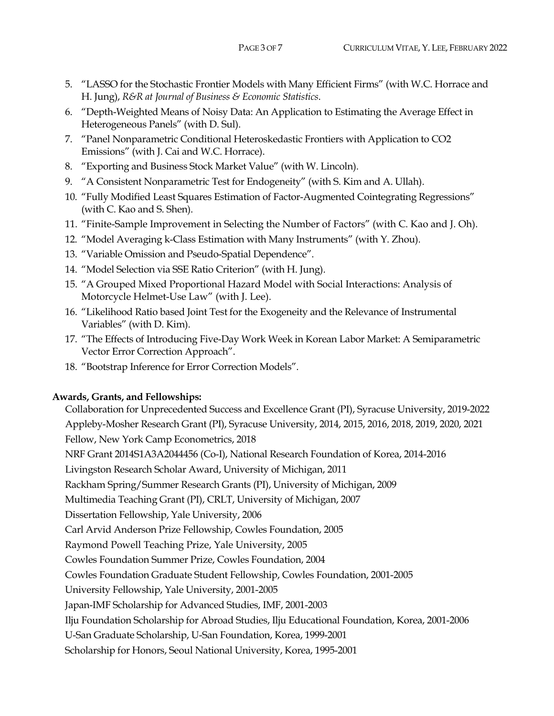- 5. "LASSO for the Stochastic Frontier Models with Many Efficient Firms" (with W.C. Horrace and H. Jung), *R&R at Journal of Business & Economic Statistics*.
- 6. "Depth-Weighted Means of Noisy Data: An Application to Estimating the Average Effect in Heterogeneous Panels" (with D. Sul).
- 7. "Panel Nonparametric Conditional Heteroskedastic Frontiers with Application to CO2 Emissions" (with J. Cai and W.C. Horrace).
- 8. "Exporting and Business Stock Market Value" (with W. Lincoln).
- 9. "A Consistent Nonparametric Test for Endogeneity" (with S. Kim and A. Ullah).
- 10. "Fully Modified Least Squares Estimation of Factor-Augmented Cointegrating Regressions" (with C. Kao and S. Shen).
- 11. "Finite-Sample Improvement in Selecting the Number of Factors" (with C. Kao and J. Oh).
- 12. "Model Averaging k-Class Estimation with Many Instruments" (with Y. Zhou).
- 13. "Variable Omission and Pseudo-Spatial Dependence".
- 14. "Model Selection via SSE Ratio Criterion" (with H. Jung).
- 15. "A Grouped Mixed Proportional Hazard Model with Social Interactions: Analysis of Motorcycle Helmet-Use Law" (with J. Lee).
- 16. "Likelihood Ratio based Joint Test for the Exogeneity and the Relevance of Instrumental Variables" (with D. Kim).
- 17. "The Effects of Introducing Five-Day Work Week in Korean Labor Market: A Semiparametric Vector Error Correction Approach".
- 18. "Bootstrap Inference for Error Correction Models".

## **Awards, Grants, and Fellowships:**

 Collaboration for Unprecedented Success and Excellence Grant (PI), Syracuse University, 2019-2022 Appleby-Mosher Research Grant (PI), Syracuse University, 2014, 2015, 2016, 2018, 2019, 2020, 2021 Fellow, New York Camp Econometrics, 2018 NRF Grant 2014S1A3A2044456 (Co-I), National Research Foundation of Korea, 2014-2016 Livingston Research Scholar Award, University of Michigan, 2011 Rackham Spring/Summer Research Grants (PI), University of Michigan, 2009 Multimedia Teaching Grant (PI), CRLT, University of Michigan, 2007 Dissertation Fellowship, Yale University, 2006 Carl Arvid Anderson Prize Fellowship, Cowles Foundation, 2005 Raymond Powell Teaching Prize, Yale University, 2005 Cowles Foundation Summer Prize, Cowles Foundation, 2004 Cowles Foundation Graduate Student Fellowship, Cowles Foundation, 2001-2005 University Fellowship, Yale University, 2001-2005 Japan-IMF Scholarship for Advanced Studies, IMF, 2001-2003 Ilju Foundation Scholarship for Abroad Studies, Ilju Educational Foundation, Korea, 2001-2006 U-San Graduate Scholarship, U-San Foundation, Korea, 1999-2001 Scholarship for Honors, Seoul National University, Korea, 1995-2001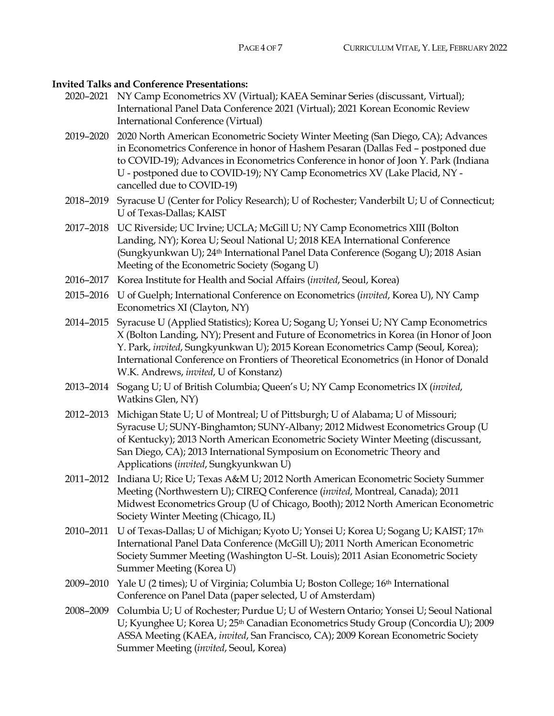#### **Invited Talks and Conference Presentations:**

- 2020–2021 NY Camp Econometrics XV (Virtual); KAEA Seminar Series (discussant, Virtual); International Panel Data Conference 2021 (Virtual); 2021 Korean Economic Review International Conference (Virtual)
- 2019–2020 2020 North American Econometric Society Winter Meeting (San Diego, CA); Advances in Econometrics Conference in honor of Hashem Pesaran (Dallas Fed – postponed due to COVID-19); Advances in Econometrics Conference in honor of Joon Y. Park (Indiana U - postponed due to COVID-19); NY Camp Econometrics XV (Lake Placid, NY cancelled due to COVID-19)
- 2018–2019 Syracuse U (Center for Policy Research); U of Rochester; Vanderbilt U; U of Connecticut; U of Texas-Dallas; KAIST
- 2017–2018 UC Riverside; UC Irvine; UCLA; McGill U; NY Camp Econometrics XIII (Bolton Landing, NY); Korea U; Seoul National U; 2018 KEA International Conference (Sungkyunkwan U); 24th International Panel Data Conference (Sogang U); 2018 Asian Meeting of the Econometric Society (Sogang U)
- 2016–2017 Korea Institute for Health and Social Affairs (*invited*, Seoul, Korea)
- 2015–2016 U of Guelph; International Conference on Econometrics (*invited*, Korea U), NY Camp Econometrics XI (Clayton, NY)
- 2014–2015 Syracuse U (Applied Statistics); Korea U; Sogang U; Yonsei U; NY Camp Econometrics X (Bolton Landing, NY); Present and Future of Econometrics in Korea (in Honor of Joon Y. Park, *invited*, Sungkyunkwan U); 2015 Korean Econometrics Camp (Seoul, Korea); International Conference on Frontiers of Theoretical Econometrics (in Honor of Donald W.K. Andrews, *invited*, U of Konstanz)
- 2013–2014 Sogang U; U of British Columbia; Queen's U; NY Camp Econometrics IX (*invited*, Watkins Glen, NY)
- 2012–2013 Michigan State U; U of Montreal; U of Pittsburgh; U of Alabama; U of Missouri; Syracuse U; SUNY-Binghamton; SUNY-Albany; 2012 Midwest Econometrics Group (U of Kentucky); 2013 North American Econometric Society Winter Meeting (discussant, San Diego, CA); 2013 International Symposium on Econometric Theory and Applications (*invited*, Sungkyunkwan U)
- 2011–2012 Indiana U; Rice U; Texas A&M U; 2012 North American Econometric Society Summer Meeting (Northwestern U); CIREQ Conference (*invited*, Montreal, Canada); 2011 Midwest Econometrics Group (U of Chicago, Booth); 2012 North American Econometric Society Winter Meeting (Chicago, IL)
- 2010–2011 U of Texas-Dallas; U of Michigan; Kyoto U; Yonsei U; Korea U; Sogang U; KAIST; 17th International Panel Data Conference (McGill U); 2011 North American Econometric Society Summer Meeting (Washington U–St. Louis); 2011 Asian Econometric Society Summer Meeting (Korea U)
- 2009–2010 Yale U (2 times); U of Virginia; Columbia U; Boston College; 16th International Conference on Panel Data (paper selected, U of Amsterdam)
- 2008–2009 Columbia U; U of Rochester; Purdue U; U of Western Ontario; Yonsei U; Seoul National U; Kyunghee U; Korea U; 25<sup>th</sup> Canadian Econometrics Study Group (Concordia U); 2009 ASSA Meeting (KAEA, *invited*, San Francisco, CA); 2009 Korean Econometric Society Summer Meeting (*invited*, Seoul, Korea)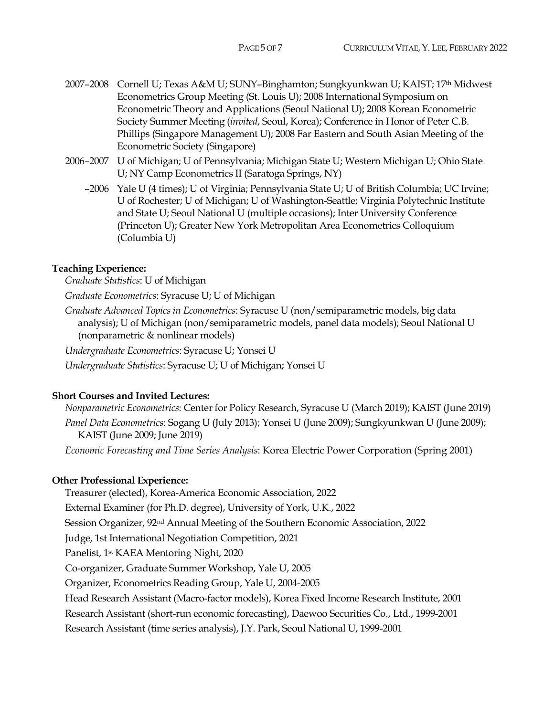- 2007–2008 Cornell U; Texas A&M U; SUNY–Binghamton; Sungkyunkwan U; KAIST; 17th Midwest Econometrics Group Meeting (St. Louis U); 2008 International Symposium on Econometric Theory and Applications (Seoul National U); 2008 Korean Econometric Society Summer Meeting (*invited*, Seoul, Korea); Conference in Honor of Peter C.B. Phillips (Singapore Management U); 2008 Far Eastern and South Asian Meeting of the Econometric Society (Singapore)
- 2006–2007 U of Michigan; U of Pennsylvania; Michigan State U; Western Michigan U; Ohio State U; NY Camp Econometrics II (Saratoga Springs, NY)
	- –2006 Yale U (4 times); U of Virginia; Pennsylvania State U; U of British Columbia; UC Irvine; U of Rochester; U of Michigan; U of Washington-Seattle; Virginia Polytechnic Institute and State U; Seoul National U (multiple occasions); Inter University Conference (Princeton U); Greater New York Metropolitan Area Econometrics Colloquium (Columbia U)

## **Teaching Experience:**

*Graduate Statistics*: U of Michigan

*Graduate Econometrics*: Syracuse U; U of Michigan

*Graduate Advanced Topics in Econometrics*: Syracuse U (non/semiparametric models, big data analysis); U of Michigan (non/semiparametric models, panel data models); Seoul National U (nonparametric & nonlinear models)

*Undergraduate Econometrics*: Syracuse U; Yonsei U

*Undergraduate Statistics*: Syracuse U; U of Michigan; Yonsei U

## **Short Courses and Invited Lectures:**

*Nonparametric Econometrics*: Center for Policy Research, Syracuse U (March 2019); KAIST (June 2019) *Panel Data Econometrics*: Sogang U (July 2013); Yonsei U (June 2009); Sungkyunkwan U (June 2009); KAIST (June 2009; June 2019)

*Economic Forecasting and Time Series Analysis*: Korea Electric Power Corporation (Spring 2001)

## **Other Professional Experience:**

Treasurer (elected), Korea-America Economic Association, 2022

External Examiner (for Ph.D. degree), University of York, U.K., 2022

Session Organizer, 92nd Annual Meeting of the Southern Economic Association, 2022

Judge, 1st International Negotiation Competition, 2021

Panelist, 1st KAEA Mentoring Night, 2020

Co-organizer, Graduate Summer Workshop, Yale U, 2005

Organizer, Econometrics Reading Group, Yale U, 2004-2005

Head Research Assistant (Macro-factor models), Korea Fixed Income Research Institute, 2001

Research Assistant (short-run economic forecasting), Daewoo Securities Co., Ltd., 1999-2001

Research Assistant (time series analysis), J.Y. Park, Seoul National U, 1999-2001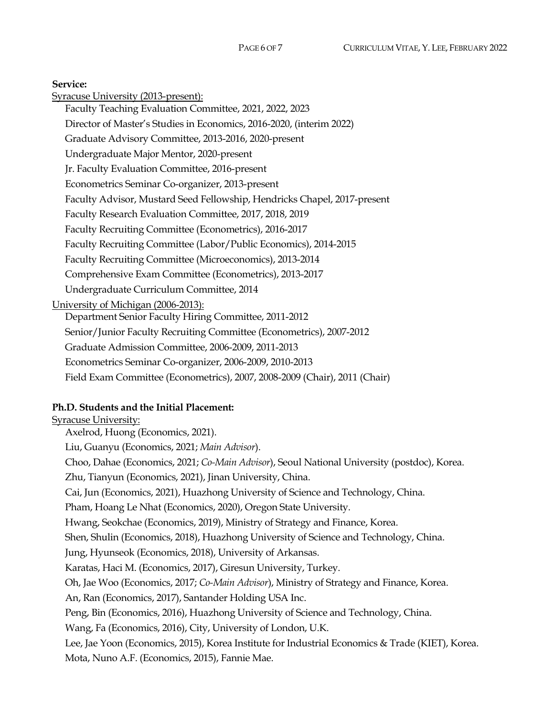Syracuse University (2013-present): Faculty Teaching Evaluation Committee, 2021, 2022, 2023 Director of Master's Studies in Economics, 2016-2020, (interim 2022) Graduate Advisory Committee, 2013-2016, 2020-present Undergraduate Major Mentor, 2020-present Jr. Faculty Evaluation Committee, 2016-present Econometrics Seminar Co-organizer, 2013-present Faculty Advisor, Mustard Seed Fellowship, Hendricks Chapel, 2017-present Faculty Research Evaluation Committee, 2017, 2018, 2019 Faculty Recruiting Committee (Econometrics), 2016-2017 Faculty Recruiting Committee (Labor/Public Economics), 2014-2015 Faculty Recruiting Committee (Microeconomics), 2013-2014 Comprehensive Exam Committee (Econometrics), 2013-2017 Undergraduate Curriculum Committee, 2014 University of Michigan (2006-2013): Department Senior Faculty Hiring Committee, 2011-2012 Senior/Junior Faculty Recruiting Committee (Econometrics), 2007-2012 Graduate Admission Committee, 2006-2009, 2011-2013 Econometrics Seminar Co-organizer, 2006-2009, 2010-2013 Field Exam Committee (Econometrics), 2007, 2008-2009 (Chair), 2011 (Chair)

## **Ph.D. Students and the Initial Placement:**

Syracuse University: Axelrod, Huong (Economics, 2021). Liu, Guanyu (Economics, 2021; *Main Advisor*). Choo, Dahae (Economics, 2021; *Co-Main Advisor*), Seoul National University (postdoc), Korea. Zhu, Tianyun (Economics, 2021), Jinan University, China. Cai, Jun (Economics, 2021), Huazhong University of Science and Technology, China. Pham, Hoang Le Nhat (Economics, 2020), Oregon State University. Hwang, Seokchae (Economics, 2019), Ministry of Strategy and Finance, Korea. Shen, Shulin (Economics, 2018), Huazhong University of Science and Technology, China. Jung, Hyunseok (Economics, 2018), University of Arkansas. Karatas, Haci M. (Economics, 2017), Giresun University, Turkey. Oh, Jae Woo (Economics, 2017; *Co-Main Advisor*), Ministry of Strategy and Finance, Korea. An, Ran (Economics, 2017), Santander Holding USA Inc. Peng, Bin (Economics, 2016), Huazhong University of Science and Technology, China. Wang, Fa (Economics, 2016), City, University of London, U.K. Lee, Jae Yoon (Economics, 2015), Korea Institute for Industrial Economics & Trade (KIET), Korea. Mota, Nuno A.F. (Economics, 2015), Fannie Mae.